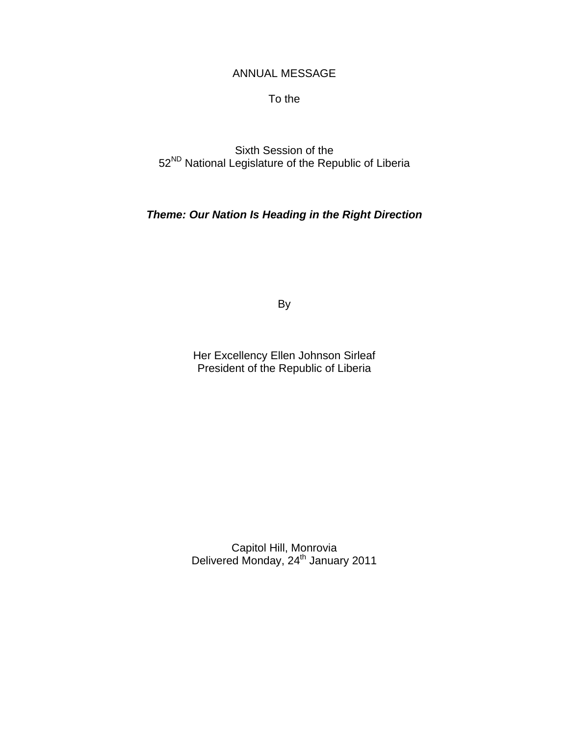# ANNUAL MESSAGE

To the

Sixth Session of the 52<sup>ND</sup> National Legislature of the Republic of Liberia

*Theme: Our Nation Is Heading in the Right Direction* 

By

Her Excellency Ellen Johnson Sirleaf President of the Republic of Liberia

Capitol Hill, Monrovia Delivered Monday, 24<sup>th</sup> January 2011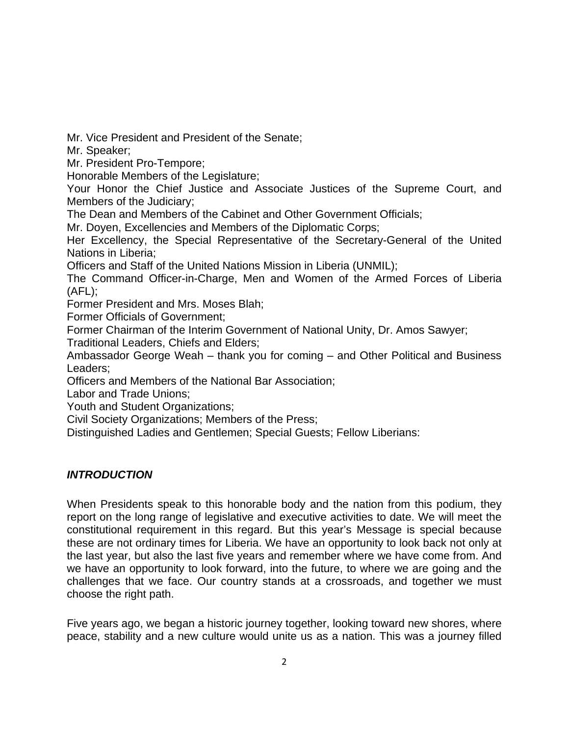Mr. Vice President and President of the Senate;

Mr. Speaker;

Mr. President Pro-Tempore;

Honorable Members of the Legislature;

Your Honor the Chief Justice and Associate Justices of the Supreme Court, and Members of the Judiciary;

The Dean and Members of the Cabinet and Other Government Officials;

Mr. Doyen, Excellencies and Members of the Diplomatic Corps;

Her Excellency, the Special Representative of the Secretary-General of the United Nations in Liberia;

Officers and Staff of the United Nations Mission in Liberia (UNMIL);

The Command Officer-in-Charge, Men and Women of the Armed Forces of Liberia  $(AFL)$ ;

Former President and Mrs. Moses Blah;

Former Officials of Government;

Former Chairman of the Interim Government of National Unity, Dr. Amos Sawyer;

Traditional Leaders, Chiefs and Elders;

Ambassador George Weah – thank you for coming – and Other Political and Business Leaders;

Officers and Members of the National Bar Association;

Labor and Trade Unions;

Youth and Student Organizations;

Civil Society Organizations; Members of the Press;

Distinguished Ladies and Gentlemen; Special Guests; Fellow Liberians:

# *INTRODUCTION*

When Presidents speak to this honorable body and the nation from this podium, they report on the long range of legislative and executive activities to date. We will meet the constitutional requirement in this regard. But this year's Message is special because these are not ordinary times for Liberia. We have an opportunity to look back not only at the last year, but also the last five years and remember where we have come from. And we have an opportunity to look forward, into the future, to where we are going and the challenges that we face. Our country stands at a crossroads, and together we must choose the right path.

Five years ago, we began a historic journey together, looking toward new shores, where peace, stability and a new culture would unite us as a nation. This was a journey filled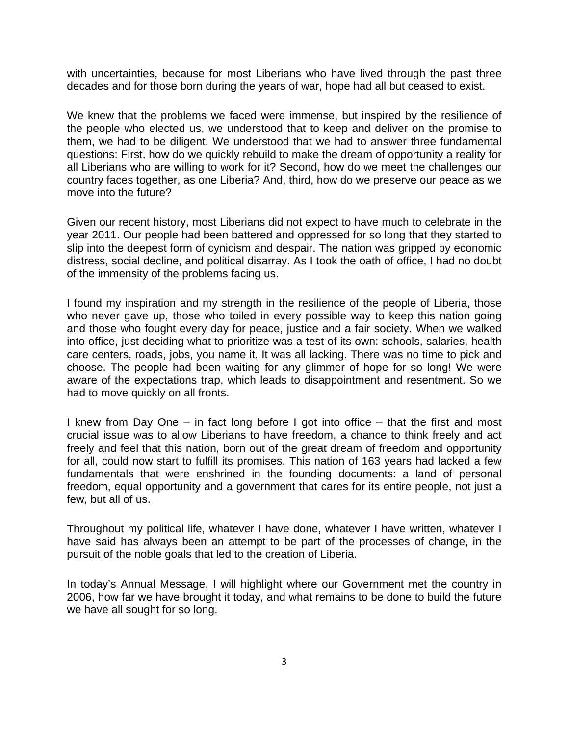with uncertainties, because for most Liberians who have lived through the past three decades and for those born during the years of war, hope had all but ceased to exist.

We knew that the problems we faced were immense, but inspired by the resilience of the people who elected us, we understood that to keep and deliver on the promise to them, we had to be diligent. We understood that we had to answer three fundamental questions: First, how do we quickly rebuild to make the dream of opportunity a reality for all Liberians who are willing to work for it? Second, how do we meet the challenges our country faces together, as one Liberia? And, third, how do we preserve our peace as we move into the future?

Given our recent history, most Liberians did not expect to have much to celebrate in the year 2011. Our people had been battered and oppressed for so long that they started to slip into the deepest form of cynicism and despair. The nation was gripped by economic distress, social decline, and political disarray. As I took the oath of office, I had no doubt of the immensity of the problems facing us.

I found my inspiration and my strength in the resilience of the people of Liberia, those who never gave up, those who toiled in every possible way to keep this nation going and those who fought every day for peace, justice and a fair society. When we walked into office, just deciding what to prioritize was a test of its own: schools, salaries, health care centers, roads, jobs, you name it. It was all lacking. There was no time to pick and choose. The people had been waiting for any glimmer of hope for so long! We were aware of the expectations trap, which leads to disappointment and resentment. So we had to move quickly on all fronts.

I knew from Day One – in fact long before I got into office – that the first and most crucial issue was to allow Liberians to have freedom, a chance to think freely and act freely and feel that this nation, born out of the great dream of freedom and opportunity for all, could now start to fulfill its promises. This nation of 163 years had lacked a few fundamentals that were enshrined in the founding documents: a land of personal freedom, equal opportunity and a government that cares for its entire people, not just a few, but all of us.

Throughout my political life, whatever I have done, whatever I have written, whatever I have said has always been an attempt to be part of the processes of change, in the pursuit of the noble goals that led to the creation of Liberia.

In today's Annual Message, I will highlight where our Government met the country in 2006, how far we have brought it today, and what remains to be done to build the future we have all sought for so long.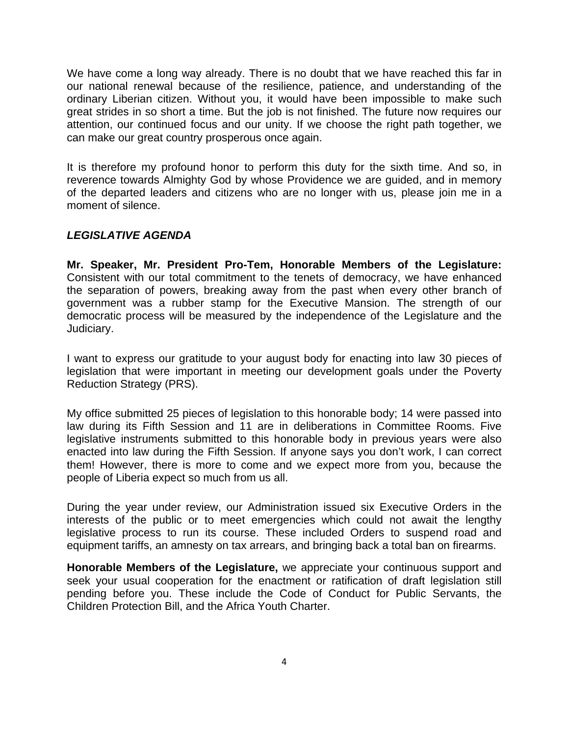We have come a long way already. There is no doubt that we have reached this far in our national renewal because of the resilience, patience, and understanding of the ordinary Liberian citizen. Without you, it would have been impossible to make such great strides in so short a time. But the job is not finished. The future now requires our attention, our continued focus and our unity. If we choose the right path together, we can make our great country prosperous once again.

It is therefore my profound honor to perform this duty for the sixth time. And so, in reverence towards Almighty God by whose Providence we are guided, and in memory of the departed leaders and citizens who are no longer with us, please join me in a moment of silence.

# *LEGISLATIVE AGENDA*

**Mr. Speaker, Mr. President Pro-Tem, Honorable Members of the Legislature:**  Consistent with our total commitment to the tenets of democracy, we have enhanced the separation of powers, breaking away from the past when every other branch of government was a rubber stamp for the Executive Mansion. The strength of our democratic process will be measured by the independence of the Legislature and the Judiciary.

I want to express our gratitude to your august body for enacting into law 30 pieces of legislation that were important in meeting our development goals under the Poverty Reduction Strategy (PRS).

My office submitted 25 pieces of legislation to this honorable body; 14 were passed into law during its Fifth Session and 11 are in deliberations in Committee Rooms. Five legislative instruments submitted to this honorable body in previous years were also enacted into law during the Fifth Session. If anyone says you don't work, I can correct them! However, there is more to come and we expect more from you, because the people of Liberia expect so much from us all.

During the year under review, our Administration issued six Executive Orders in the interests of the public or to meet emergencies which could not await the lengthy legislative process to run its course. These included Orders to suspend road and equipment tariffs, an amnesty on tax arrears, and bringing back a total ban on firearms.

**Honorable Members of the Legislature,** we appreciate your continuous support and seek your usual cooperation for the enactment or ratification of draft legislation still pending before you. These include the Code of Conduct for Public Servants, the Children Protection Bill, and the Africa Youth Charter.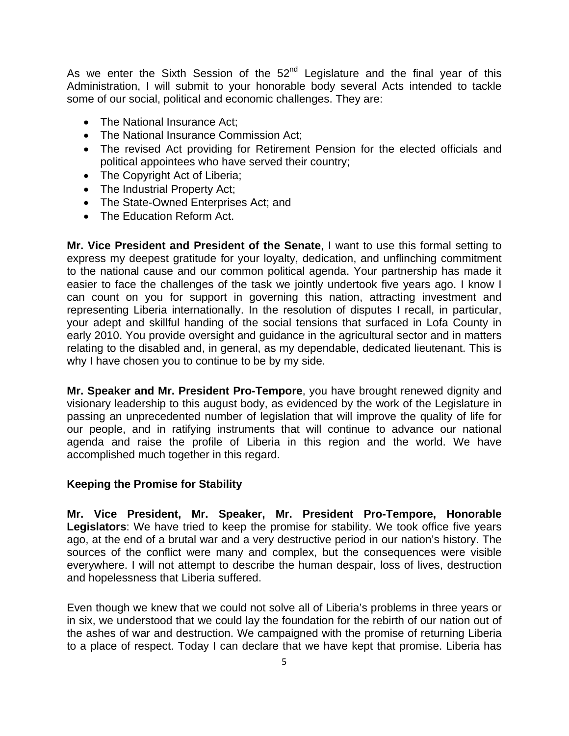As we enter the Sixth Session of the  $52<sup>nd</sup>$  Legislature and the final year of this Administration, I will submit to your honorable body several Acts intended to tackle some of our social, political and economic challenges. They are:

- The National Insurance Act:
- The National Insurance Commission Act:
- The revised Act providing for Retirement Pension for the elected officials and political appointees who have served their country;
- The Copyright Act of Liberia;
- The Industrial Property Act;
- The State-Owned Enterprises Act; and
- The Education Reform Act.

**Mr. Vice President and President of the Senate**, I want to use this formal setting to express my deepest gratitude for your loyalty, dedication, and unflinching commitment to the national cause and our common political agenda. Your partnership has made it easier to face the challenges of the task we jointly undertook five years ago. I know I can count on you for support in governing this nation, attracting investment and representing Liberia internationally. In the resolution of disputes I recall, in particular, your adept and skillful handing of the social tensions that surfaced in Lofa County in early 2010. You provide oversight and guidance in the agricultural sector and in matters relating to the disabled and, in general, as my dependable, dedicated lieutenant. This is why I have chosen you to continue to be by my side.

**Mr. Speaker and Mr. President Pro-Tempore**, you have brought renewed dignity and visionary leadership to this august body, as evidenced by the work of the Legislature in passing an unprecedented number of legislation that will improve the quality of life for our people, and in ratifying instruments that will continue to advance our national agenda and raise the profile of Liberia in this region and the world. We have accomplished much together in this regard.

# **Keeping the Promise for Stability**

**Mr. Vice President, Mr. Speaker, Mr. President Pro-Tempore, Honorable Legislators**: We have tried to keep the promise for stability. We took office five years ago, at the end of a brutal war and a very destructive period in our nation's history. The sources of the conflict were many and complex, but the consequences were visible everywhere. I will not attempt to describe the human despair, loss of lives, destruction and hopelessness that Liberia suffered.

Even though we knew that we could not solve all of Liberia's problems in three years or in six, we understood that we could lay the foundation for the rebirth of our nation out of the ashes of war and destruction. We campaigned with the promise of returning Liberia to a place of respect. Today I can declare that we have kept that promise. Liberia has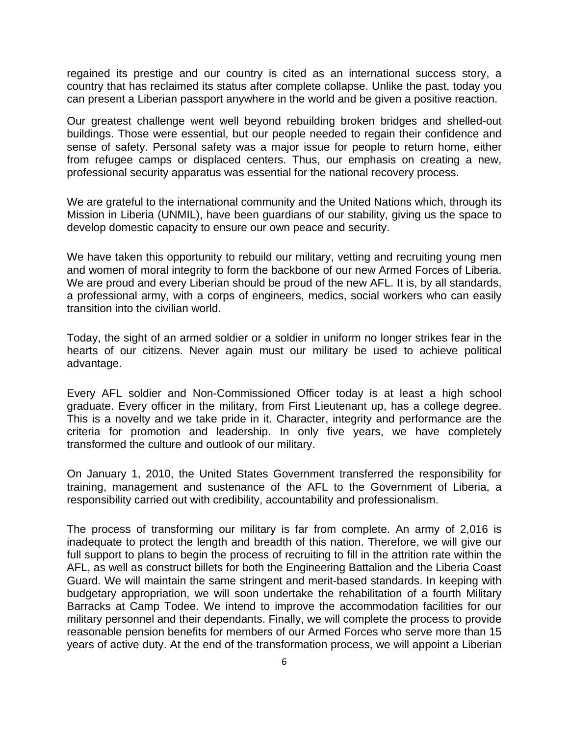regained its prestige and our country is cited as an international success story, a country that has reclaimed its status after complete collapse. Unlike the past, today you can present a Liberian passport anywhere in the world and be given a positive reaction.

Our greatest challenge went well beyond rebuilding broken bridges and shelled-out buildings. Those were essential, but our people needed to regain their confidence and sense of safety. Personal safety was a major issue for people to return home, either from refugee camps or displaced centers. Thus, our emphasis on creating a new, professional security apparatus was essential for the national recovery process.

We are grateful to the international community and the United Nations which, through its Mission in Liberia (UNMIL), have been guardians of our stability, giving us the space to develop domestic capacity to ensure our own peace and security.

We have taken this opportunity to rebuild our military, vetting and recruiting young men and women of moral integrity to form the backbone of our new Armed Forces of Liberia. We are proud and every Liberian should be proud of the new AFL. It is, by all standards, a professional army, with a corps of engineers, medics, social workers who can easily transition into the civilian world.

Today, the sight of an armed soldier or a soldier in uniform no longer strikes fear in the hearts of our citizens. Never again must our military be used to achieve political advantage.

Every AFL soldier and Non-Commissioned Officer today is at least a high school graduate. Every officer in the military, from First Lieutenant up, has a college degree. This is a novelty and we take pride in it. Character, integrity and performance are the criteria for promotion and leadership. In only five years, we have completely transformed the culture and outlook of our military.

On January 1, 2010, the United States Government transferred the responsibility for training, management and sustenance of the AFL to the Government of Liberia, a responsibility carried out with credibility, accountability and professionalism.

The process of transforming our military is far from complete. An army of 2,016 is inadequate to protect the length and breadth of this nation. Therefore, we will give our full support to plans to begin the process of recruiting to fill in the attrition rate within the AFL, as well as construct billets for both the Engineering Battalion and the Liberia Coast Guard. We will maintain the same stringent and merit-based standards. In keeping with budgetary appropriation, we will soon undertake the rehabilitation of a fourth Military Barracks at Camp Todee. We intend to improve the accommodation facilities for our military personnel and their dependants. Finally, we will complete the process to provide reasonable pension benefits for members of our Armed Forces who serve more than 15 years of active duty. At the end of the transformation process, we will appoint a Liberian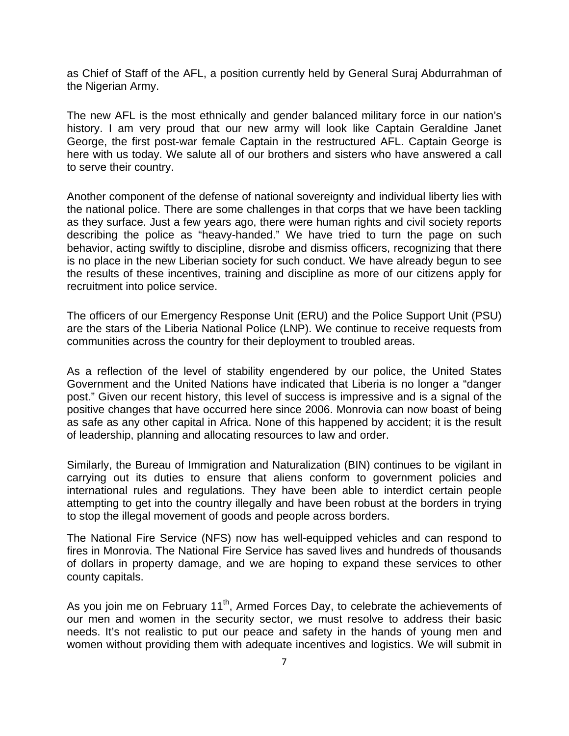as Chief of Staff of the AFL, a position currently held by General Suraj Abdurrahman of the Nigerian Army.

The new AFL is the most ethnically and gender balanced military force in our nation's history. I am very proud that our new army will look like Captain Geraldine Janet George, the first post-war female Captain in the restructured AFL. Captain George is here with us today. We salute all of our brothers and sisters who have answered a call to serve their country.

Another component of the defense of national sovereignty and individual liberty lies with the national police. There are some challenges in that corps that we have been tackling as they surface. Just a few years ago, there were human rights and civil society reports describing the police as "heavy-handed." We have tried to turn the page on such behavior, acting swiftly to discipline, disrobe and dismiss officers, recognizing that there is no place in the new Liberian society for such conduct. We have already begun to see the results of these incentives, training and discipline as more of our citizens apply for recruitment into police service.

The officers of our Emergency Response Unit (ERU) and the Police Support Unit (PSU) are the stars of the Liberia National Police (LNP). We continue to receive requests from communities across the country for their deployment to troubled areas.

As a reflection of the level of stability engendered by our police, the United States Government and the United Nations have indicated that Liberia is no longer a "danger post." Given our recent history, this level of success is impressive and is a signal of the positive changes that have occurred here since 2006. Monrovia can now boast of being as safe as any other capital in Africa. None of this happened by accident; it is the result of leadership, planning and allocating resources to law and order.

Similarly, the Bureau of Immigration and Naturalization (BIN) continues to be vigilant in carrying out its duties to ensure that aliens conform to government policies and international rules and regulations. They have been able to interdict certain people attempting to get into the country illegally and have been robust at the borders in trying to stop the illegal movement of goods and people across borders.

The National Fire Service (NFS) now has well-equipped vehicles and can respond to fires in Monrovia. The National Fire Service has saved lives and hundreds of thousands of dollars in property damage, and we are hoping to expand these services to other county capitals.

As you join me on February  $11<sup>th</sup>$ , Armed Forces Day, to celebrate the achievements of our men and women in the security sector, we must resolve to address their basic needs. It's not realistic to put our peace and safety in the hands of young men and women without providing them with adequate incentives and logistics. We will submit in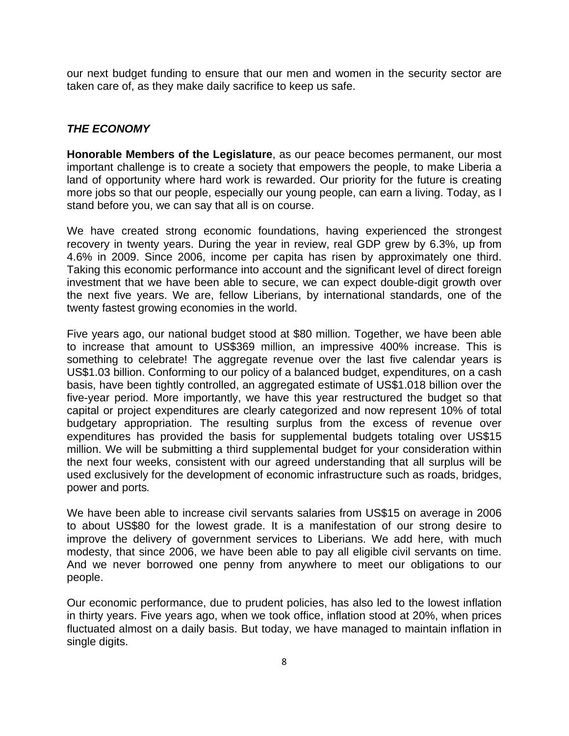our next budget funding to ensure that our men and women in the security sector are taken care of, as they make daily sacrifice to keep us safe.

### *THE ECONOMY*

**Honorable Members of the Legislature**, as our peace becomes permanent, our most important challenge is to create a society that empowers the people, to make Liberia a land of opportunity where hard work is rewarded. Our priority for the future is creating more jobs so that our people, especially our young people, can earn a living. Today, as I stand before you, we can say that all is on course.

We have created strong economic foundations, having experienced the strongest recovery in twenty years. During the year in review, real GDP grew by 6.3%, up from 4.6% in 2009. Since 2006, income per capita has risen by approximately one third. Taking this economic performance into account and the significant level of direct foreign investment that we have been able to secure, we can expect double-digit growth over the next five years. We are, fellow Liberians, by international standards, one of the twenty fastest growing economies in the world.

Five years ago, our national budget stood at \$80 million. Together, we have been able to increase that amount to US\$369 million, an impressive 400% increase. This is something to celebrate! The aggregate revenue over the last five calendar years is US\$1.03 billion. Conforming to our policy of a balanced budget, expenditures, on a cash basis, have been tightly controlled, an aggregated estimate of US\$1.018 billion over the five-year period. More importantly, we have this year restructured the budget so that capital or project expenditures are clearly categorized and now represent 10% of total budgetary appropriation. The resulting surplus from the excess of revenue over expenditures has provided the basis for supplemental budgets totaling over US\$15 million. We will be submitting a third supplemental budget for your consideration within the next four weeks, consistent with our agreed understanding that all surplus will be used exclusively for the development of economic infrastructure such as roads, bridges, power and ports*.* 

We have been able to increase civil servants salaries from US\$15 on average in 2006 to about US\$80 for the lowest grade. It is a manifestation of our strong desire to improve the delivery of government services to Liberians. We add here, with much modesty, that since 2006, we have been able to pay all eligible civil servants on time. And we never borrowed one penny from anywhere to meet our obligations to our people.

Our economic performance, due to prudent policies, has also led to the lowest inflation in thirty years. Five years ago, when we took office, inflation stood at 20%, when prices fluctuated almost on a daily basis. But today, we have managed to maintain inflation in single digits.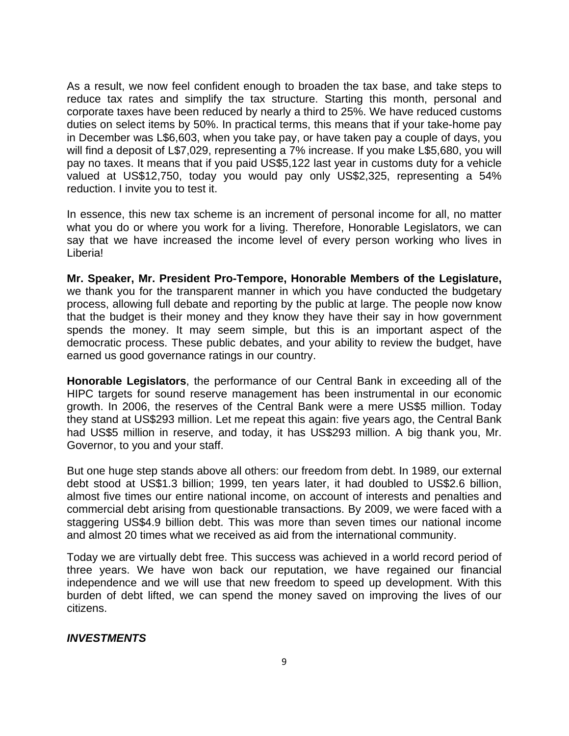As a result, we now feel confident enough to broaden the tax base, and take steps to reduce tax rates and simplify the tax structure. Starting this month, personal and corporate taxes have been reduced by nearly a third to 25%. We have reduced customs duties on select items by 50%. In practical terms, this means that if your take-home pay in December was L\$6,603, when you take pay, or have taken pay a couple of days, you will find a deposit of L\$7,029, representing a 7% increase. If you make L\$5,680, you will pay no taxes. It means that if you paid US\$5,122 last year in customs duty for a vehicle valued at US\$12,750, today you would pay only US\$2,325, representing a 54% reduction. I invite you to test it.

In essence, this new tax scheme is an increment of personal income for all, no matter what you do or where you work for a living. Therefore, Honorable Legislators, we can say that we have increased the income level of every person working who lives in Liberia!

**Mr. Speaker, Mr. President Pro-Tempore, Honorable Members of the Legislature,** we thank you for the transparent manner in which you have conducted the budgetary process, allowing full debate and reporting by the public at large. The people now know that the budget is their money and they know they have their say in how government spends the money. It may seem simple, but this is an important aspect of the democratic process. These public debates, and your ability to review the budget, have earned us good governance ratings in our country.

**Honorable Legislators**, the performance of our Central Bank in exceeding all of the HIPC targets for sound reserve management has been instrumental in our economic growth. In 2006, the reserves of the Central Bank were a mere US\$5 million. Today they stand at US\$293 million. Let me repeat this again: five years ago, the Central Bank had US\$5 million in reserve, and today, it has US\$293 million. A big thank you, Mr. Governor, to you and your staff.

But one huge step stands above all others: our freedom from debt. In 1989, our external debt stood at US\$1.3 billion; 1999, ten years later, it had doubled to US\$2.6 billion, almost five times our entire national income, on account of interests and penalties and commercial debt arising from questionable transactions. By 2009, we were faced with a staggering US\$4.9 billion debt. This was more than seven times our national income and almost 20 times what we received as aid from the international community.

Today we are virtually debt free. This success was achieved in a world record period of three years. We have won back our reputation, we have regained our financial independence and we will use that new freedom to speed up development. With this burden of debt lifted, we can spend the money saved on improving the lives of our citizens.

### *INVESTMENTS*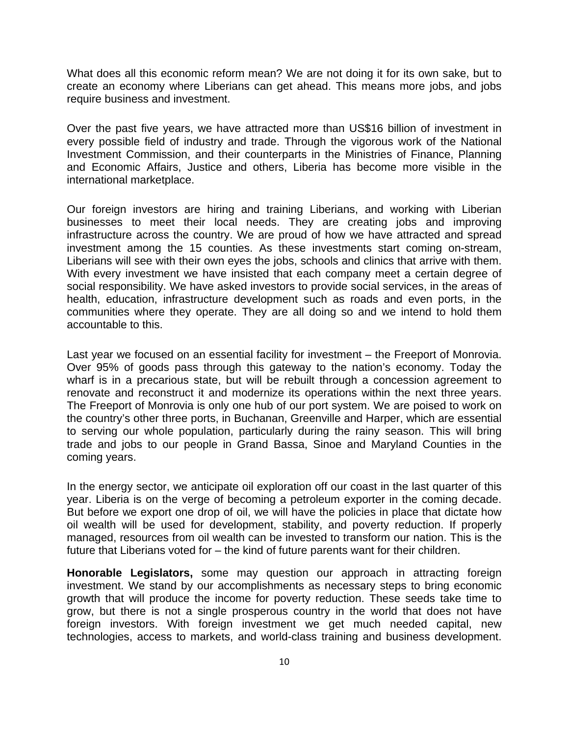What does all this economic reform mean? We are not doing it for its own sake, but to create an economy where Liberians can get ahead. This means more jobs, and jobs require business and investment.

Over the past five years, we have attracted more than US\$16 billion of investment in every possible field of industry and trade. Through the vigorous work of the National Investment Commission, and their counterparts in the Ministries of Finance, Planning and Economic Affairs, Justice and others, Liberia has become more visible in the international marketplace.

Our foreign investors are hiring and training Liberians, and working with Liberian businesses to meet their local needs. They are creating jobs and improving infrastructure across the country. We are proud of how we have attracted and spread investment among the 15 counties. As these investments start coming on-stream, Liberians will see with their own eyes the jobs, schools and clinics that arrive with them. With every investment we have insisted that each company meet a certain degree of social responsibility. We have asked investors to provide social services, in the areas of health, education, infrastructure development such as roads and even ports, in the communities where they operate. They are all doing so and we intend to hold them accountable to this.

Last year we focused on an essential facility for investment – the Freeport of Monrovia. Over 95% of goods pass through this gateway to the nation's economy. Today the wharf is in a precarious state, but will be rebuilt through a concession agreement to renovate and reconstruct it and modernize its operations within the next three years. The Freeport of Monrovia is only one hub of our port system. We are poised to work on the country's other three ports, in Buchanan, Greenville and Harper, which are essential to serving our whole population, particularly during the rainy season. This will bring trade and jobs to our people in Grand Bassa, Sinoe and Maryland Counties in the coming years.

In the energy sector, we anticipate oil exploration off our coast in the last quarter of this year. Liberia is on the verge of becoming a petroleum exporter in the coming decade. But before we export one drop of oil, we will have the policies in place that dictate how oil wealth will be used for development, stability, and poverty reduction. If properly managed, resources from oil wealth can be invested to transform our nation. This is the future that Liberians voted for – the kind of future parents want for their children.

**Honorable Legislators,** some may question our approach in attracting foreign investment. We stand by our accomplishments as necessary steps to bring economic growth that will produce the income for poverty reduction. These seeds take time to grow, but there is not a single prosperous country in the world that does not have foreign investors. With foreign investment we get much needed capital, new technologies, access to markets, and world-class training and business development.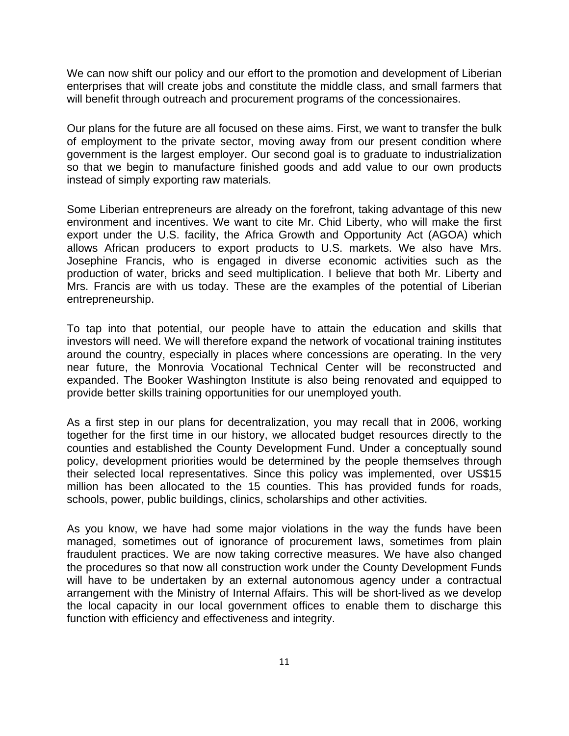We can now shift our policy and our effort to the promotion and development of Liberian enterprises that will create jobs and constitute the middle class, and small farmers that will benefit through outreach and procurement programs of the concessionaires.

Our plans for the future are all focused on these aims. First, we want to transfer the bulk of employment to the private sector, moving away from our present condition where government is the largest employer. Our second goal is to graduate to industrialization so that we begin to manufacture finished goods and add value to our own products instead of simply exporting raw materials.

Some Liberian entrepreneurs are already on the forefront, taking advantage of this new environment and incentives. We want to cite Mr. Chid Liberty, who will make the first export under the U.S. facility, the Africa Growth and Opportunity Act (AGOA) which allows African producers to export products to U.S. markets. We also have Mrs. Josephine Francis, who is engaged in diverse economic activities such as the production of water, bricks and seed multiplication. I believe that both Mr. Liberty and Mrs. Francis are with us today. These are the examples of the potential of Liberian entrepreneurship.

To tap into that potential, our people have to attain the education and skills that investors will need. We will therefore expand the network of vocational training institutes around the country, especially in places where concessions are operating. In the very near future, the Monrovia Vocational Technical Center will be reconstructed and expanded. The Booker Washington Institute is also being renovated and equipped to provide better skills training opportunities for our unemployed youth.

As a first step in our plans for decentralization, you may recall that in 2006, working together for the first time in our history, we allocated budget resources directly to the counties and established the County Development Fund. Under a conceptually sound policy, development priorities would be determined by the people themselves through their selected local representatives. Since this policy was implemented, over US\$15 million has been allocated to the 15 counties. This has provided funds for roads, schools, power, public buildings, clinics, scholarships and other activities.

As you know, we have had some major violations in the way the funds have been managed, sometimes out of ignorance of procurement laws, sometimes from plain fraudulent practices. We are now taking corrective measures. We have also changed the procedures so that now all construction work under the County Development Funds will have to be undertaken by an external autonomous agency under a contractual arrangement with the Ministry of Internal Affairs. This will be short-lived as we develop the local capacity in our local government offices to enable them to discharge this function with efficiency and effectiveness and integrity.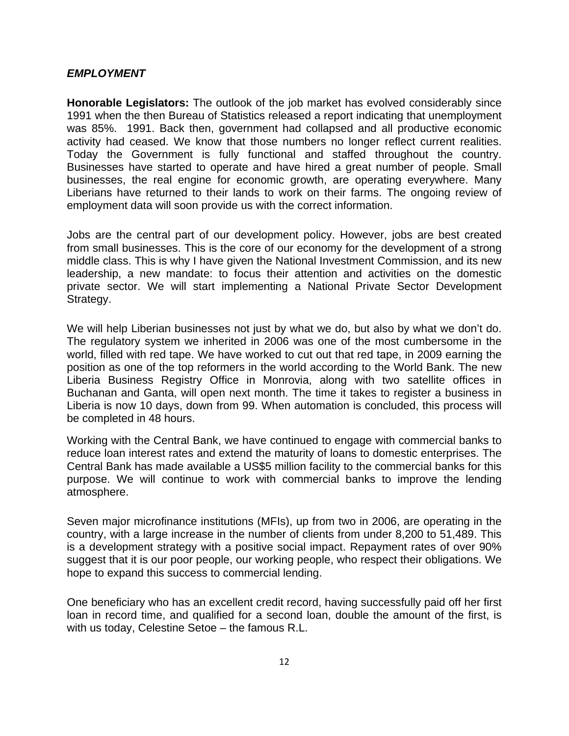#### *EMPLOYMENT*

**Honorable Legislators:** The outlook of the job market has evolved considerably since 1991 when the then Bureau of Statistics released a report indicating that unemployment was 85%. 1991. Back then, government had collapsed and all productive economic activity had ceased. We know that those numbers no longer reflect current realities. Today the Government is fully functional and staffed throughout the country. Businesses have started to operate and have hired a great number of people. Small businesses, the real engine for economic growth, are operating everywhere. Many Liberians have returned to their lands to work on their farms. The ongoing review of employment data will soon provide us with the correct information.

Jobs are the central part of our development policy. However, jobs are best created from small businesses. This is the core of our economy for the development of a strong middle class. This is why I have given the National Investment Commission, and its new leadership, a new mandate: to focus their attention and activities on the domestic private sector. We will start implementing a National Private Sector Development Strategy.

We will help Liberian businesses not just by what we do, but also by what we don't do. The regulatory system we inherited in 2006 was one of the most cumbersome in the world, filled with red tape. We have worked to cut out that red tape, in 2009 earning the position as one of the top reformers in the world according to the World Bank. The new Liberia Business Registry Office in Monrovia, along with two satellite offices in Buchanan and Ganta, will open next month. The time it takes to register a business in Liberia is now 10 days, down from 99. When automation is concluded, this process will be completed in 48 hours.

Working with the Central Bank, we have continued to engage with commercial banks to reduce loan interest rates and extend the maturity of loans to domestic enterprises. The Central Bank has made available a US\$5 million facility to the commercial banks for this purpose. We will continue to work with commercial banks to improve the lending atmosphere.

Seven major microfinance institutions (MFIs), up from two in 2006, are operating in the country, with a large increase in the number of clients from under 8,200 to 51,489. This is a development strategy with a positive social impact. Repayment rates of over 90% suggest that it is our poor people, our working people, who respect their obligations. We hope to expand this success to commercial lending.

One beneficiary who has an excellent credit record, having successfully paid off her first loan in record time, and qualified for a second loan, double the amount of the first, is with us today, Celestine Setoe – the famous R.L.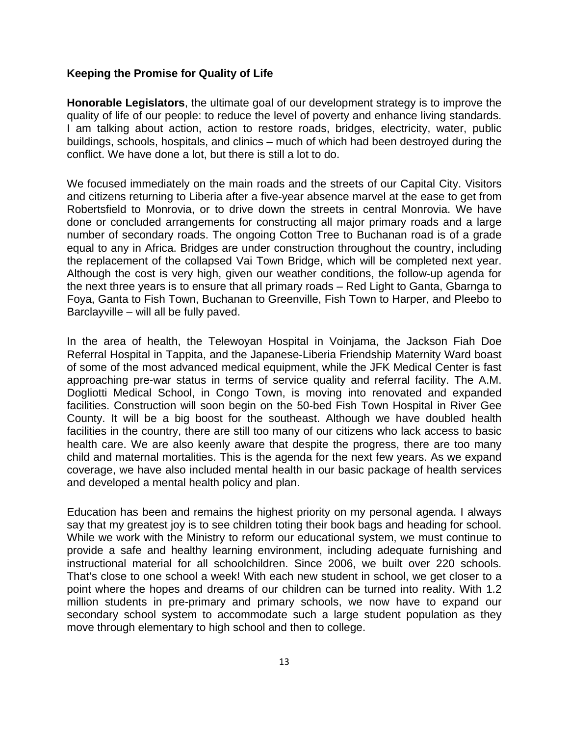#### **Keeping the Promise for Quality of Life**

**Honorable Legislators**, the ultimate goal of our development strategy is to improve the quality of life of our people: to reduce the level of poverty and enhance living standards. I am talking about action, action to restore roads, bridges, electricity, water, public buildings, schools, hospitals, and clinics – much of which had been destroyed during the conflict. We have done a lot, but there is still a lot to do.

We focused immediately on the main roads and the streets of our Capital City. Visitors and citizens returning to Liberia after a five-year absence marvel at the ease to get from Robertsfield to Monrovia, or to drive down the streets in central Monrovia. We have done or concluded arrangements for constructing all major primary roads and a large number of secondary roads. The ongoing Cotton Tree to Buchanan road is of a grade equal to any in Africa. Bridges are under construction throughout the country, including the replacement of the collapsed Vai Town Bridge, which will be completed next year. Although the cost is very high, given our weather conditions, the follow-up agenda for the next three years is to ensure that all primary roads – Red Light to Ganta, Gbarnga to Foya, Ganta to Fish Town, Buchanan to Greenville, Fish Town to Harper, and Pleebo to Barclayville – will all be fully paved.

In the area of health, the Telewoyan Hospital in Voinjama, the Jackson Fiah Doe Referral Hospital in Tappita, and the Japanese-Liberia Friendship Maternity Ward boast of some of the most advanced medical equipment, while the JFK Medical Center is fast approaching pre-war status in terms of service quality and referral facility. The A.M. Dogliotti Medical School, in Congo Town, is moving into renovated and expanded facilities. Construction will soon begin on the 50-bed Fish Town Hospital in River Gee County. It will be a big boost for the southeast. Although we have doubled health facilities in the country, there are still too many of our citizens who lack access to basic health care. We are also keenly aware that despite the progress, there are too many child and maternal mortalities. This is the agenda for the next few years. As we expand coverage, we have also included mental health in our basic package of health services and developed a mental health policy and plan.

Education has been and remains the highest priority on my personal agenda. I always say that my greatest joy is to see children toting their book bags and heading for school. While we work with the Ministry to reform our educational system, we must continue to provide a safe and healthy learning environment, including adequate furnishing and instructional material for all schoolchildren. Since 2006, we built over 220 schools. That's close to one school a week! With each new student in school, we get closer to a point where the hopes and dreams of our children can be turned into reality. With 1.2 million students in pre-primary and primary schools, we now have to expand our secondary school system to accommodate such a large student population as they move through elementary to high school and then to college.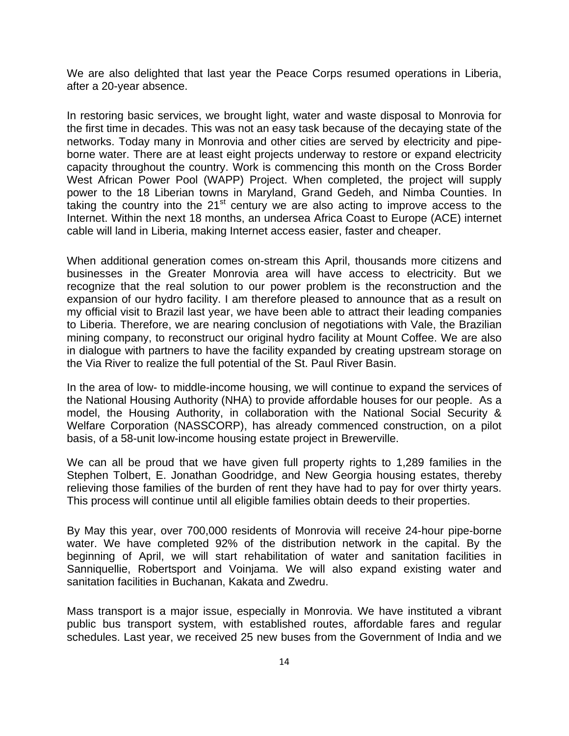We are also delighted that last year the Peace Corps resumed operations in Liberia, after a 20-year absence.

In restoring basic services, we brought light, water and waste disposal to Monrovia for the first time in decades. This was not an easy task because of the decaying state of the networks. Today many in Monrovia and other cities are served by electricity and pipeborne water. There are at least eight projects underway to restore or expand electricity capacity throughout the country. Work is commencing this month on the Cross Border West African Power Pool (WAPP) Project. When completed, the project will supply power to the 18 Liberian towns in Maryland, Grand Gedeh, and Nimba Counties. In taking the country into the  $21<sup>st</sup>$  century we are also acting to improve access to the Internet. Within the next 18 months, an undersea Africa Coast to Europe (ACE) internet cable will land in Liberia, making Internet access easier, faster and cheaper.

When additional generation comes on-stream this April, thousands more citizens and businesses in the Greater Monrovia area will have access to electricity. But we recognize that the real solution to our power problem is the reconstruction and the expansion of our hydro facility. I am therefore pleased to announce that as a result on my official visit to Brazil last year, we have been able to attract their leading companies to Liberia. Therefore, we are nearing conclusion of negotiations with Vale, the Brazilian mining company, to reconstruct our original hydro facility at Mount Coffee. We are also in dialogue with partners to have the facility expanded by creating upstream storage on the Via River to realize the full potential of the St. Paul River Basin.

In the area of low- to middle-income housing, we will continue to expand the services of the National Housing Authority (NHA) to provide affordable houses for our people. As a model, the Housing Authority, in collaboration with the National Social Security & Welfare Corporation (NASSCORP), has already commenced construction, on a pilot basis, of a 58-unit low-income housing estate project in Brewerville.

We can all be proud that we have given full property rights to 1,289 families in the Stephen Tolbert, E. Jonathan Goodridge, and New Georgia housing estates, thereby relieving those families of the burden of rent they have had to pay for over thirty years. This process will continue until all eligible families obtain deeds to their properties.

By May this year, over 700,000 residents of Monrovia will receive 24-hour pipe-borne water. We have completed 92% of the distribution network in the capital. By the beginning of April, we will start rehabilitation of water and sanitation facilities in Sanniquellie, Robertsport and Voinjama. We will also expand existing water and sanitation facilities in Buchanan, Kakata and Zwedru.

Mass transport is a major issue, especially in Monrovia. We have instituted a vibrant public bus transport system, with established routes, affordable fares and regular schedules. Last year, we received 25 new buses from the Government of India and we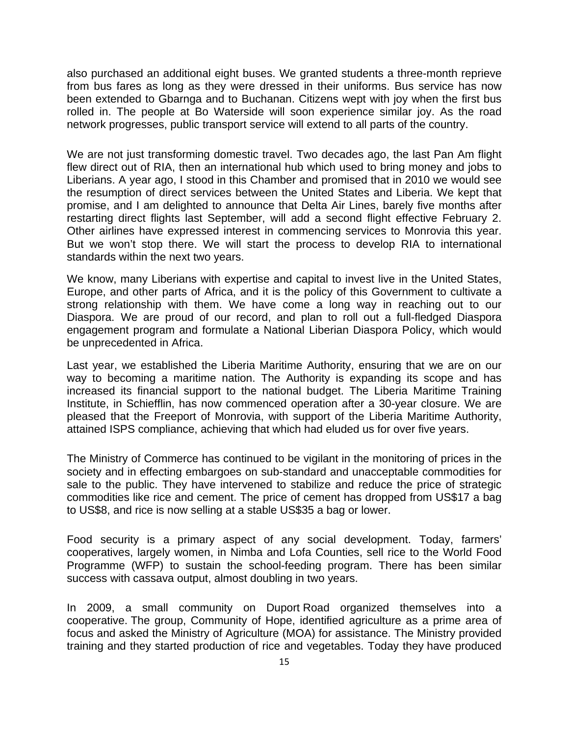also purchased an additional eight buses. We granted students a three-month reprieve from bus fares as long as they were dressed in their uniforms. Bus service has now been extended to Gbarnga and to Buchanan. Citizens wept with joy when the first bus rolled in. The people at Bo Waterside will soon experience similar joy. As the road network progresses, public transport service will extend to all parts of the country.

We are not just transforming domestic travel. Two decades ago, the last Pan Am flight flew direct out of RIA, then an international hub which used to bring money and jobs to Liberians. A year ago, I stood in this Chamber and promised that in 2010 we would see the resumption of direct services between the United States and Liberia. We kept that promise, and I am delighted to announce that Delta Air Lines, barely five months after restarting direct flights last September, will add a second flight effective February 2. Other airlines have expressed interest in commencing services to Monrovia this year. But we won't stop there. We will start the process to develop RIA to international standards within the next two years.

We know, many Liberians with expertise and capital to invest live in the United States, Europe, and other parts of Africa, and it is the policy of this Government to cultivate a strong relationship with them. We have come a long way in reaching out to our Diaspora. We are proud of our record, and plan to roll out a full-fledged Diaspora engagement program and formulate a National Liberian Diaspora Policy, which would be unprecedented in Africa.

Last year, we established the Liberia Maritime Authority, ensuring that we are on our way to becoming a maritime nation. The Authority is expanding its scope and has increased its financial support to the national budget. The Liberia Maritime Training Institute, in Schiefflin, has now commenced operation after a 30-year closure. We are pleased that the Freeport of Monrovia, with support of the Liberia Maritime Authority, attained ISPS compliance, achieving that which had eluded us for over five years.

The Ministry of Commerce has continued to be vigilant in the monitoring of prices in the society and in effecting embargoes on sub-standard and unacceptable commodities for sale to the public. They have intervened to stabilize and reduce the price of strategic commodities like rice and cement. The price of cement has dropped from US\$17 a bag to US\$8, and rice is now selling at a stable US\$35 a bag or lower.

Food security is a primary aspect of any social development. Today, farmers' cooperatives, largely women, in Nimba and Lofa Counties, sell rice to the World Food Programme (WFP) to sustain the school-feeding program. There has been similar success with cassava output, almost doubling in two years.

In 2009, a small community on Duport Road organized themselves into a cooperative. The group, Community of Hope, identified agriculture as a prime area of focus and asked the Ministry of Agriculture (MOA) for assistance. The Ministry provided training and they started production of rice and vegetables. Today they have produced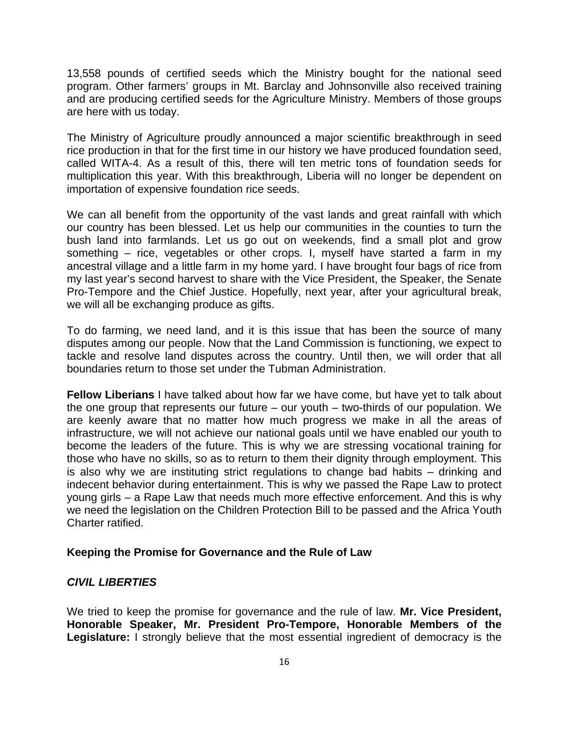13,558 pounds of certified seeds which the Ministry bought for the national seed program. Other farmers' groups in Mt. Barclay and Johnsonville also received training and are producing certified seeds for the Agriculture Ministry. Members of those groups are here with us today.

The Ministry of Agriculture proudly announced a major scientific breakthrough in seed rice production in that for the first time in our history we have produced foundation seed, called WITA-4. As a result of this, there will ten metric tons of foundation seeds for multiplication this year. With this breakthrough, Liberia will no longer be dependent on importation of expensive foundation rice seeds.

We can all benefit from the opportunity of the vast lands and great rainfall with which our country has been blessed. Let us help our communities in the counties to turn the bush land into farmlands. Let us go out on weekends, find a small plot and grow something – rice, vegetables or other crops. I, myself have started a farm in my ancestral village and a little farm in my home yard. I have brought four bags of rice from my last year's second harvest to share with the Vice President, the Speaker, the Senate Pro-Tempore and the Chief Justice. Hopefully, next year, after your agricultural break, we will all be exchanging produce as gifts.

To do farming, we need land, and it is this issue that has been the source of many disputes among our people. Now that the Land Commission is functioning, we expect to tackle and resolve land disputes across the country. Until then, we will order that all boundaries return to those set under the Tubman Administration.

**Fellow Liberians** I have talked about how far we have come, but have yet to talk about the one group that represents our future – our youth – two-thirds of our population. We are keenly aware that no matter how much progress we make in all the areas of infrastructure, we will not achieve our national goals until we have enabled our youth to become the leaders of the future. This is why we are stressing vocational training for those who have no skills, so as to return to them their dignity through employment. This is also why we are instituting strict regulations to change bad habits – drinking and indecent behavior during entertainment. This is why we passed the Rape Law to protect young girls – a Rape Law that needs much more effective enforcement. And this is why we need the legislation on the Children Protection Bill to be passed and the Africa Youth Charter ratified.

### **Keeping the Promise for Governance and the Rule of Law**

### *CIVIL LIBERTIES*

We tried to keep the promise for governance and the rule of law. **Mr. Vice President, Honorable Speaker, Mr. President Pro-Tempore, Honorable Members of the Legislature:** I strongly believe that the most essential ingredient of democracy is the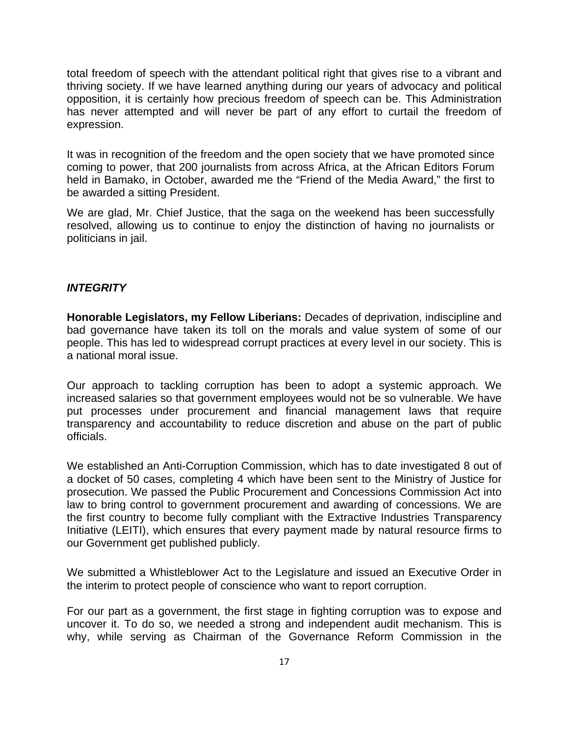total freedom of speech with the attendant political right that gives rise to a vibrant and thriving society. If we have learned anything during our years of advocacy and political opposition, it is certainly how precious freedom of speech can be. This Administration has never attempted and will never be part of any effort to curtail the freedom of expression.

It was in recognition of the freedom and the open society that we have promoted since coming to power, that 200 journalists from across Africa, at the African Editors Forum held in Bamako, in October, awarded me the "Friend of the Media Award," the first to be awarded a sitting President.

We are glad, Mr. Chief Justice, that the saga on the weekend has been successfully resolved, allowing us to continue to enjoy the distinction of having no journalists or politicians in jail.

### *INTEGRITY*

**Honorable Legislators, my Fellow Liberians:** Decades of deprivation, indiscipline and bad governance have taken its toll on the morals and value system of some of our people. This has led to widespread corrupt practices at every level in our society. This is a national moral issue.

Our approach to tackling corruption has been to adopt a systemic approach. We increased salaries so that government employees would not be so vulnerable. We have put processes under procurement and financial management laws that require transparency and accountability to reduce discretion and abuse on the part of public officials.

We established an Anti-Corruption Commission, which has to date investigated 8 out of a docket of 50 cases, completing 4 which have been sent to the Ministry of Justice for prosecution. We passed the Public Procurement and Concessions Commission Act into law to bring control to government procurement and awarding of concessions. We are the first country to become fully compliant with the Extractive Industries Transparency Initiative (LEITI), which ensures that every payment made by natural resource firms to our Government get published publicly.

We submitted a Whistleblower Act to the Legislature and issued an Executive Order in the interim to protect people of conscience who want to report corruption.

For our part as a government, the first stage in fighting corruption was to expose and uncover it. To do so, we needed a strong and independent audit mechanism. This is why, while serving as Chairman of the Governance Reform Commission in the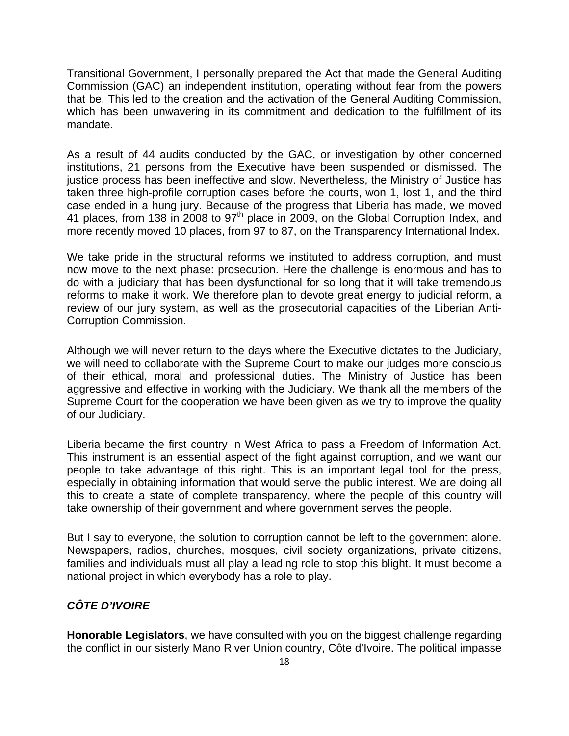Transitional Government, I personally prepared the Act that made the General Auditing Commission (GAC) an independent institution, operating without fear from the powers that be. This led to the creation and the activation of the General Auditing Commission, which has been unwavering in its commitment and dedication to the fulfillment of its mandate.

As a result of 44 audits conducted by the GAC, or investigation by other concerned institutions, 21 persons from the Executive have been suspended or dismissed. The justice process has been ineffective and slow. Nevertheless, the Ministry of Justice has taken three high-profile corruption cases before the courts, won 1, lost 1, and the third case ended in a hung jury. Because of the progress that Liberia has made, we moved 41 places, from 138 in 2008 to 97<sup>th</sup> place in 2009, on the Global Corruption Index, and more recently moved 10 places, from 97 to 87, on the Transparency International Index.

We take pride in the structural reforms we instituted to address corruption, and must now move to the next phase: prosecution. Here the challenge is enormous and has to do with a judiciary that has been dysfunctional for so long that it will take tremendous reforms to make it work. We therefore plan to devote great energy to judicial reform, a review of our jury system, as well as the prosecutorial capacities of the Liberian Anti-Corruption Commission.

Although we will never return to the days where the Executive dictates to the Judiciary, we will need to collaborate with the Supreme Court to make our judges more conscious of their ethical, moral and professional duties. The Ministry of Justice has been aggressive and effective in working with the Judiciary. We thank all the members of the Supreme Court for the cooperation we have been given as we try to improve the quality of our Judiciary.

Liberia became the first country in West Africa to pass a Freedom of Information Act. This instrument is an essential aspect of the fight against corruption, and we want our people to take advantage of this right. This is an important legal tool for the press, especially in obtaining information that would serve the public interest. We are doing all this to create a state of complete transparency, where the people of this country will take ownership of their government and where government serves the people.

But I say to everyone, the solution to corruption cannot be left to the government alone. Newspapers, radios, churches, mosques, civil society organizations, private citizens, families and individuals must all play a leading role to stop this blight. It must become a national project in which everybody has a role to play.

# *CÔTE D'IVOIRE*

**Honorable Legislators**, we have consulted with you on the biggest challenge regarding the conflict in our sisterly Mano River Union country, Côte d'Ivoire. The political impasse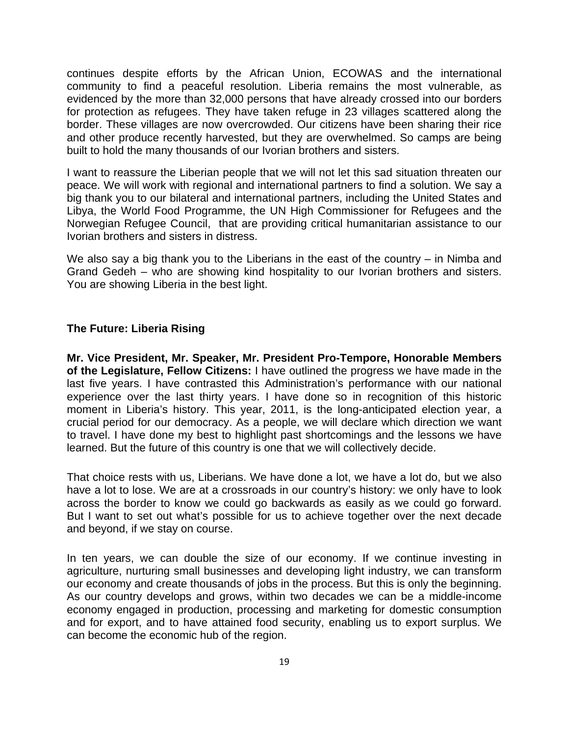continues despite efforts by the African Union, ECOWAS and the international community to find a peaceful resolution. Liberia remains the most vulnerable, as evidenced by the more than 32,000 persons that have already crossed into our borders for protection as refugees. They have taken refuge in 23 villages scattered along the border. These villages are now overcrowded. Our citizens have been sharing their rice and other produce recently harvested, but they are overwhelmed. So camps are being built to hold the many thousands of our Ivorian brothers and sisters.

I want to reassure the Liberian people that we will not let this sad situation threaten our peace. We will work with regional and international partners to find a solution. We say a big thank you to our bilateral and international partners, including the United States and Libya, the World Food Programme, the UN High Commissioner for Refugees and the Norwegian Refugee Council, that are providing critical humanitarian assistance to our Ivorian brothers and sisters in distress.

We also say a big thank you to the Liberians in the east of the country – in Nimba and Grand Gedeh – who are showing kind hospitality to our Ivorian brothers and sisters. You are showing Liberia in the best light.

#### **The Future: Liberia Rising**

**Mr. Vice President, Mr. Speaker, Mr. President Pro-Tempore, Honorable Members of the Legislature, Fellow Citizens:** I have outlined the progress we have made in the last five years. I have contrasted this Administration's performance with our national experience over the last thirty years. I have done so in recognition of this historic moment in Liberia's history. This year, 2011, is the long-anticipated election year, a crucial period for our democracy. As a people, we will declare which direction we want to travel. I have done my best to highlight past shortcomings and the lessons we have learned. But the future of this country is one that we will collectively decide.

That choice rests with us, Liberians. We have done a lot, we have a lot do, but we also have a lot to lose. We are at a crossroads in our country's history: we only have to look across the border to know we could go backwards as easily as we could go forward. But I want to set out what's possible for us to achieve together over the next decade and beyond, if we stay on course.

In ten years, we can double the size of our economy. If we continue investing in agriculture, nurturing small businesses and developing light industry, we can transform our economy and create thousands of jobs in the process. But this is only the beginning. As our country develops and grows, within two decades we can be a middle-income economy engaged in production, processing and marketing for domestic consumption and for export, and to have attained food security, enabling us to export surplus. We can become the economic hub of the region.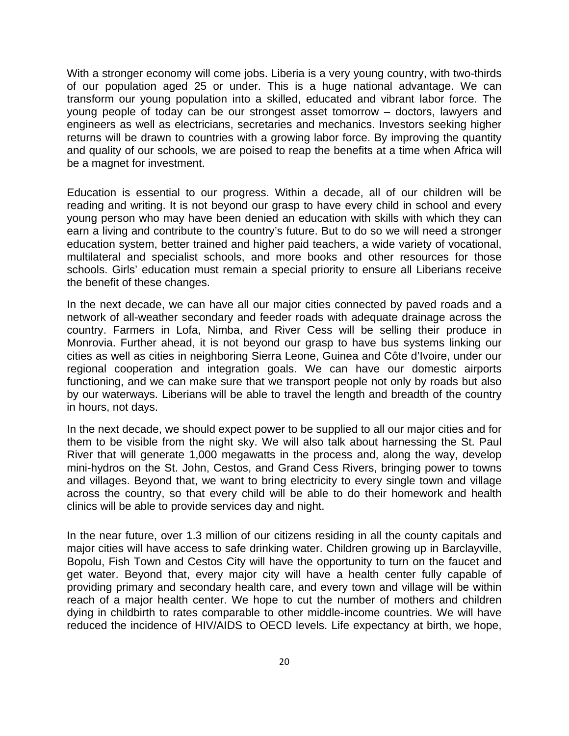With a stronger economy will come jobs. Liberia is a very young country, with two-thirds of our population aged 25 or under. This is a huge national advantage. We can transform our young population into a skilled, educated and vibrant labor force. The young people of today can be our strongest asset tomorrow – doctors, lawyers and engineers as well as electricians, secretaries and mechanics. Investors seeking higher returns will be drawn to countries with a growing labor force. By improving the quantity and quality of our schools, we are poised to reap the benefits at a time when Africa will be a magnet for investment.

Education is essential to our progress. Within a decade, all of our children will be reading and writing. It is not beyond our grasp to have every child in school and every young person who may have been denied an education with skills with which they can earn a living and contribute to the country's future. But to do so we will need a stronger education system, better trained and higher paid teachers, a wide variety of vocational, multilateral and specialist schools, and more books and other resources for those schools. Girls' education must remain a special priority to ensure all Liberians receive the benefit of these changes.

In the next decade, we can have all our major cities connected by paved roads and a network of all-weather secondary and feeder roads with adequate drainage across the country. Farmers in Lofa, Nimba, and River Cess will be selling their produce in Monrovia. Further ahead, it is not beyond our grasp to have bus systems linking our cities as well as cities in neighboring Sierra Leone, Guinea and Côte d'Ivoire, under our regional cooperation and integration goals. We can have our domestic airports functioning, and we can make sure that we transport people not only by roads but also by our waterways. Liberians will be able to travel the length and breadth of the country in hours, not days.

In the next decade, we should expect power to be supplied to all our major cities and for them to be visible from the night sky. We will also talk about harnessing the St. Paul River that will generate 1,000 megawatts in the process and, along the way, develop mini-hydros on the St. John, Cestos, and Grand Cess Rivers, bringing power to towns and villages. Beyond that, we want to bring electricity to every single town and village across the country, so that every child will be able to do their homework and health clinics will be able to provide services day and night.

In the near future, over 1.3 million of our citizens residing in all the county capitals and major cities will have access to safe drinking water. Children growing up in Barclayville, Bopolu, Fish Town and Cestos City will have the opportunity to turn on the faucet and get water. Beyond that, every major city will have a health center fully capable of providing primary and secondary health care, and every town and village will be within reach of a major health center. We hope to cut the number of mothers and children dying in childbirth to rates comparable to other middle-income countries. We will have reduced the incidence of HIV/AIDS to OECD levels. Life expectancy at birth, we hope,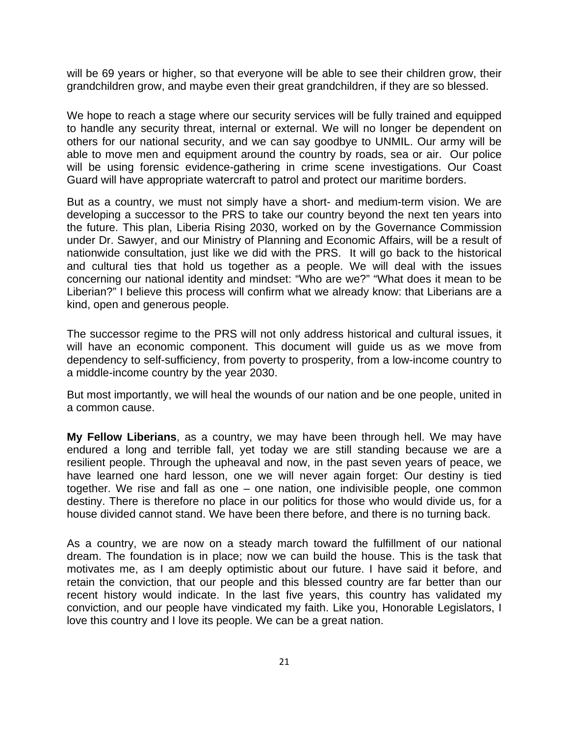will be 69 years or higher, so that everyone will be able to see their children grow, their grandchildren grow, and maybe even their great grandchildren, if they are so blessed.

We hope to reach a stage where our security services will be fully trained and equipped to handle any security threat, internal or external. We will no longer be dependent on others for our national security, and we can say goodbye to UNMIL. Our army will be able to move men and equipment around the country by roads, sea or air. Our police will be using forensic evidence-gathering in crime scene investigations. Our Coast Guard will have appropriate watercraft to patrol and protect our maritime borders.

But as a country, we must not simply have a short- and medium-term vision. We are developing a successor to the PRS to take our country beyond the next ten years into the future. This plan, Liberia Rising 2030, worked on by the Governance Commission under Dr. Sawyer, and our Ministry of Planning and Economic Affairs, will be a result of nationwide consultation, just like we did with the PRS. It will go back to the historical and cultural ties that hold us together as a people. We will deal with the issues concerning our national identity and mindset: "Who are we?" "What does it mean to be Liberian?" I believe this process will confirm what we already know: that Liberians are a kind, open and generous people.

The successor regime to the PRS will not only address historical and cultural issues, it will have an economic component. This document will guide us as we move from dependency to self-sufficiency, from poverty to prosperity, from a low-income country to a middle-income country by the year 2030.

But most importantly, we will heal the wounds of our nation and be one people, united in a common cause.

**My Fellow Liberians**, as a country, we may have been through hell. We may have endured a long and terrible fall, yet today we are still standing because we are a resilient people. Through the upheaval and now, in the past seven years of peace, we have learned one hard lesson, one we will never again forget: Our destiny is tied together. We rise and fall as one – one nation, one indivisible people, one common destiny. There is therefore no place in our politics for those who would divide us, for a house divided cannot stand. We have been there before, and there is no turning back.

As a country, we are now on a steady march toward the fulfillment of our national dream. The foundation is in place; now we can build the house. This is the task that motivates me, as I am deeply optimistic about our future. I have said it before, and retain the conviction, that our people and this blessed country are far better than our recent history would indicate. In the last five years, this country has validated my conviction, and our people have vindicated my faith. Like you, Honorable Legislators, I love this country and I love its people. We can be a great nation.